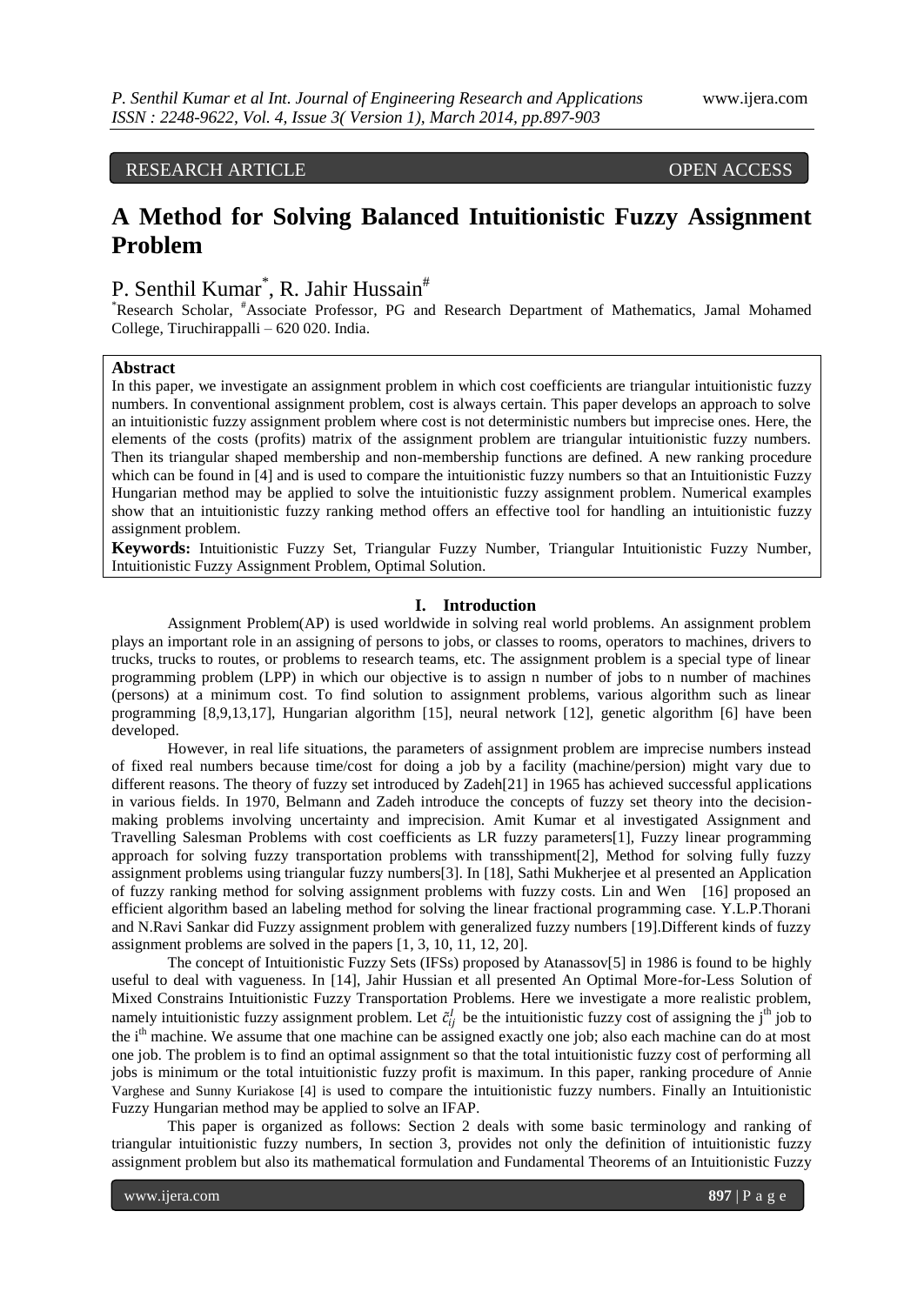RESEARCH ARTICLE OPEN ACCESS

# **A Method for Solving Balanced Intuitionistic Fuzzy Assignment Problem**

## P. Senthil Kumar<sup>\*</sup>, R. Jahir Hussain<sup>#</sup>

\*Research Scholar, #Associate Professor, PG and Research Department of Mathematics, Jamal Mohamed College, Tiruchirappalli – 620 020. India.

## **Abstract**

In this paper, we investigate an assignment problem in which cost coefficients are triangular intuitionistic fuzzy numbers. In conventional assignment problem, cost is always certain. This paper develops an approach to solve an intuitionistic fuzzy assignment problem where cost is not deterministic numbers but imprecise ones. Here, the elements of the costs (profits) matrix of the assignment problem are triangular intuitionistic fuzzy numbers. Then its triangular shaped membership and non-membership functions are defined. A new ranking procedure which can be found in [4] and is used to compare the intuitionistic fuzzy numbers so that an Intuitionistic Fuzzy Hungarian method may be applied to solve the intuitionistic fuzzy assignment problem. Numerical examples show that an intuitionistic fuzzy ranking method offers an effective tool for handling an intuitionistic fuzzy assignment problem.

**Keywords:** Intuitionistic Fuzzy Set, Triangular Fuzzy Number, Triangular Intuitionistic Fuzzy Number, Intuitionistic Fuzzy Assignment Problem, Optimal Solution.

### **I. Introduction**

Assignment Problem(AP) is used worldwide in solving real world problems. An assignment problem plays an important role in an assigning of persons to jobs, or classes to rooms, operators to machines, drivers to trucks, trucks to routes, or problems to research teams, etc. The assignment problem is a special type of linear programming problem (LPP) in which our objective is to assign n number of jobs to n number of machines (persons) at a minimum cost. To find solution to assignment problems, various algorithm such as linear programming [8,9,13,17], Hungarian algorithm [15], neural network [12], genetic algorithm [6] have been developed.

However, in real life situations, the parameters of assignment problem are imprecise numbers instead of fixed real numbers because time/cost for doing a job by a facility (machine/persion) might vary due to different reasons. The theory of fuzzy set introduced by Zadeh[21] in 1965 has achieved successful applications in various fields. In 1970, Belmann and Zadeh introduce the concepts of fuzzy set theory into the decisionmaking problems involving uncertainty and imprecision. Amit Kumar et al investigated Assignment and Travelling Salesman Problems with cost coefficients as LR fuzzy parameters[1], Fuzzy linear programming approach for solving fuzzy transportation problems with transshipment[2], Method for solving fully fuzzy assignment problems using triangular fuzzy numbers[3]. In [18], Sathi Mukherjee et al presented an Application of fuzzy ranking method for solving assignment problems with fuzzy costs. Lin and Wen [16] proposed an efficient algorithm based an labeling method for solving the linear fractional programming case. Y.L.P.Thorani and N.Ravi Sankar did Fuzzy assignment problem with generalized fuzzy numbers [19].Different kinds of fuzzy assignment problems are solved in the papers [1, 3, 10, 11, 12, 20].

The concept of Intuitionistic Fuzzy Sets (IFSs) proposed by Atanassov[5] in 1986 is found to be highly useful to deal with vagueness. In [14], Jahir Hussian et all presented An Optimal More-for-Less Solution of Mixed Constrains Intuitionistic Fuzzy Transportation Problems. Here we investigate a more realistic problem, namely intuitionistic fuzzy assignment problem. Let  $\tilde{c}_{ij}^l$  be the intuitionistic fuzzy cost of assigning the j<sup>th</sup> job to the i<sup>th</sup> machine. We assume that one machine can be assigned exactly one job; also each machine can do at most one job. The problem is to find an optimal assignment so that the total intuitionistic fuzzy cost of performing all jobs is minimum or the total intuitionistic fuzzy profit is maximum. In this paper, ranking procedure of Annie Varghese and Sunny Kuriakose [4] is used to compare the intuitionistic fuzzy numbers. Finally an Intuitionistic Fuzzy Hungarian method may be applied to solve an IFAP.

This paper is organized as follows: Section 2 deals with some basic terminology and ranking of triangular intuitionistic fuzzy numbers, In section 3, provides not only the definition of intuitionistic fuzzy assignment problem but also its mathematical formulation and Fundamental Theorems of an Intuitionistic Fuzzy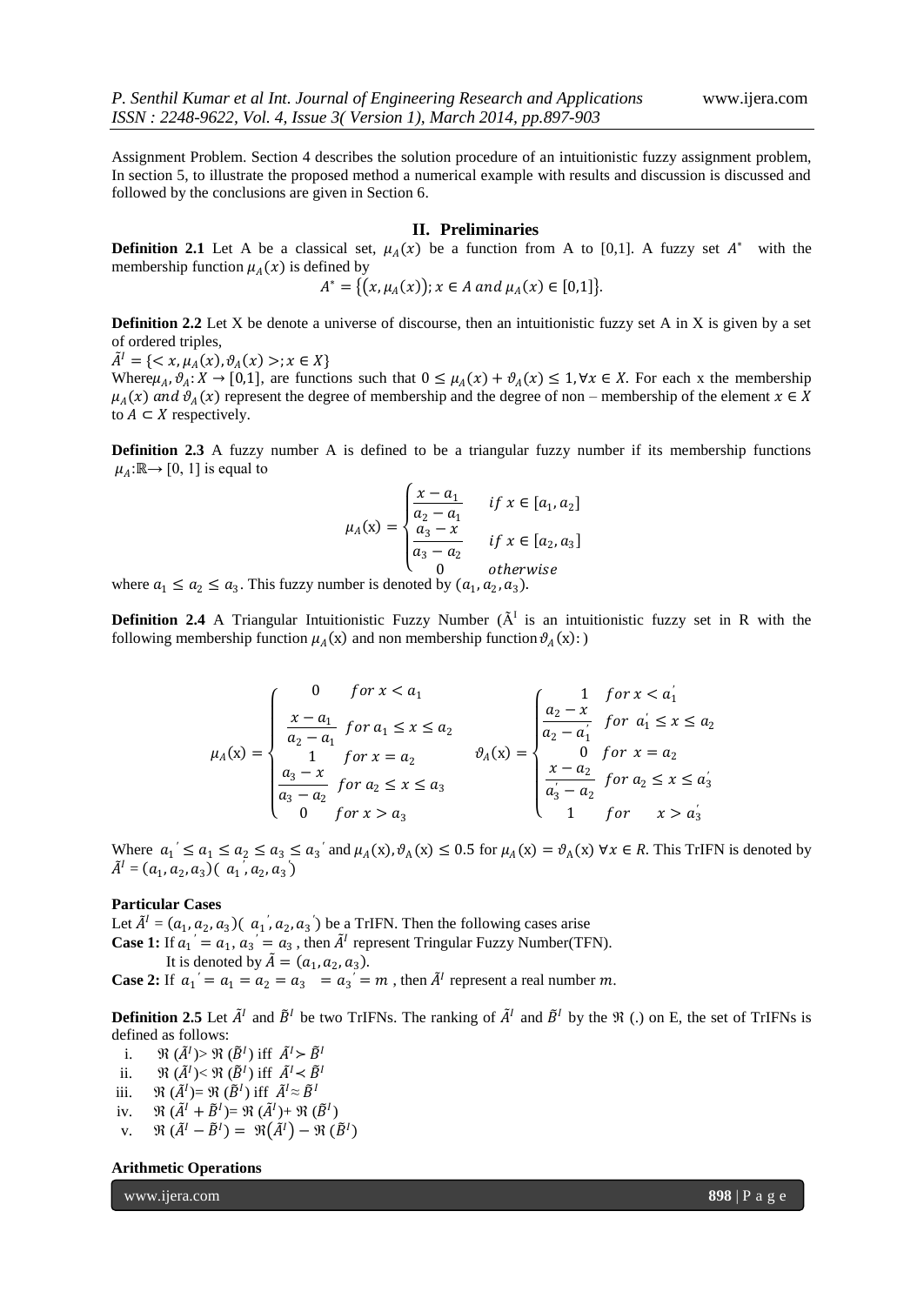Assignment Problem. Section 4 describes the solution procedure of an intuitionistic fuzzy assignment problem, In section 5, to illustrate the proposed method a numerical example with results and discussion is discussed and followed by the conclusions are given in Section 6.

#### **II. Preliminaries**

**Definition 2.1** Let A be a classical set,  $\mu_A(x)$  be a function from A to [0,1]. A fuzzy set  $A^*$  with the membership function  $\mu_A(x)$  is defined by

$$
A^* = \{ (x, \mu_A(x)); x \in A \text{ and } \mu_A(x) \in [0,1] \}.
$$

**Definition 2.2** Let X be denote a universe of discourse, then an intuitionistic fuzzy set A in X is given by a set of ordered triples,

 $\tilde{A}^I = \{ \langle x, \mu_A(x), \vartheta_A(x) \rangle; x \in X \}$ 

Where $\mu_A$ ,  $\vartheta_A: X \to [0,1]$ , are functions such that  $0 \leq \mu_A(x) + \vartheta_A(x) \leq 1$ ,  $\forall x \in X$ . For each x the membership  $\mu_A(x)$  and  $\vartheta_A(x)$  represent the degree of membership and the degree of non – membership of the element  $x \in X$ to  $A \subset X$  respectively.

**Definition 2.3** A fuzzy number A is defined to be a triangular fuzzy number if its membership functions  $\mu_A: \mathbb{R} \rightarrow [0, 1]$  is equal to

$$
\mu_A(x) = \begin{cases} \frac{x - a_1}{a_2 - a_1} & \text{if } x \in [a_1, a_2] \\ \frac{a_3 - x}{a_3 - a_2} & \text{if } x \in [a_2, a_3] \\ 0 & \text{otherwise} \end{cases}
$$

where  $a_1 \le a_2 \le a_3$ . This fuzzy number is denoted by  $(a_1, a_2, a_3)$ .

**Definition 2.4** A Triangular Intuitionistic Fuzzy Number  $(A<sup>T</sup>$  is an intuitionistic fuzzy set in R with the following membership function  $\mu_A(x)$  and non membership function  $\vartheta_A(x)$ :

$$
\mu_A(x) = \begin{cases}\n0 & \text{for } x < a_1 \\
\frac{x - a_1}{a_2 - a_1} & \text{for } a_1 \le x \le a_2 \\
1 & \text{for } x = a_2 \\
\frac{a_3 - x}{a_3 - a_2} & \text{for } a_2 \le x \le a_3 \\
0 & \text{for } x > a_3\n\end{cases} \quad \text{by} \quad \begin{cases}\n1 & \text{for } x < a_1 \\
\frac{a_2 - x}{a_2 - a_1} & \text{for } a_1 \le x \le a_2 \\
0 & \text{for } x = a_2 \\
\frac{x - a_2}{a_3 - a_2} & \text{for } a_2 \le x \le a_3 \\
1 & \text{for } x > a_3\n\end{cases}
$$

Where  $a_1' \le a_1 \le a_2 \le a_3 \le a_3'$  and  $\mu_A(x), \vartheta_A(x) \le 0.5$  for  $\mu_A(x) = \vartheta_A(x)$   $\forall x \in R$ . This TrIFN is denoted by  $\tilde{A}^I = (a_1, a_2, a_3) (a_1, a_2, a_3)$ 

## **Particular Cases**

Let  $\tilde{A}^I = (a_1, a_2, a_3) (a_1, a_2, a_3)$  be a TrIFN. Then the following cases arise **Case 1:** If  $a_1' = a_1$ ,  $a_3' = a_3$ , then  $\tilde{A}^I$  represent Tringular Fuzzy Number(TFN). It is denoted by  $\tilde{A} = (a_1, a_2, a_3)$ .

**Case 2:** If  $a_1' = a_1 = a_2 = a_3 = a_3' = m$ , then  $\tilde{A}^I$  represent a real number m.

**Definition 2.5** Let  $\tilde{A}^I$  and  $\tilde{B}^I$  be two TrIFNs. The ranking of  $\tilde{A}^I$  and  $\tilde{B}^I$  by the  $\Re$  (.) on E, the set of TrIFNs is defined as follows:

- i.  $\mathfrak{R}(\tilde{A}^I) > \mathfrak{R}(\tilde{B}^I)$  iff  $\tilde{A}^I > \tilde{B}^I$
- ii.  $\mathfrak{R}(\tilde{A}^l) < \mathfrak{R}(\tilde{B}^l)$  iff  $\tilde{A}^l < \tilde{B}^l$
- iii.  $\mathfrak{R}(\tilde{A}^l) = \mathfrak{R}(\tilde{B}^l)$  iff  $\tilde{A}^l \approx \tilde{B}^l$
- iv.  $\mathfrak{R}(\tilde{A}^I + \tilde{B}^I) = \mathfrak{R}(\tilde{A}^I) + \mathfrak{R}(\tilde{B}^I)$
- v.  $\mathfrak{R}(\tilde{A}^I \tilde{B}^I) = \mathfrak{R}(\tilde{A}^I) \mathfrak{R}(\tilde{B}^I)$

#### **Arithmetic Operations**

www.ijera.com **898** | P a g e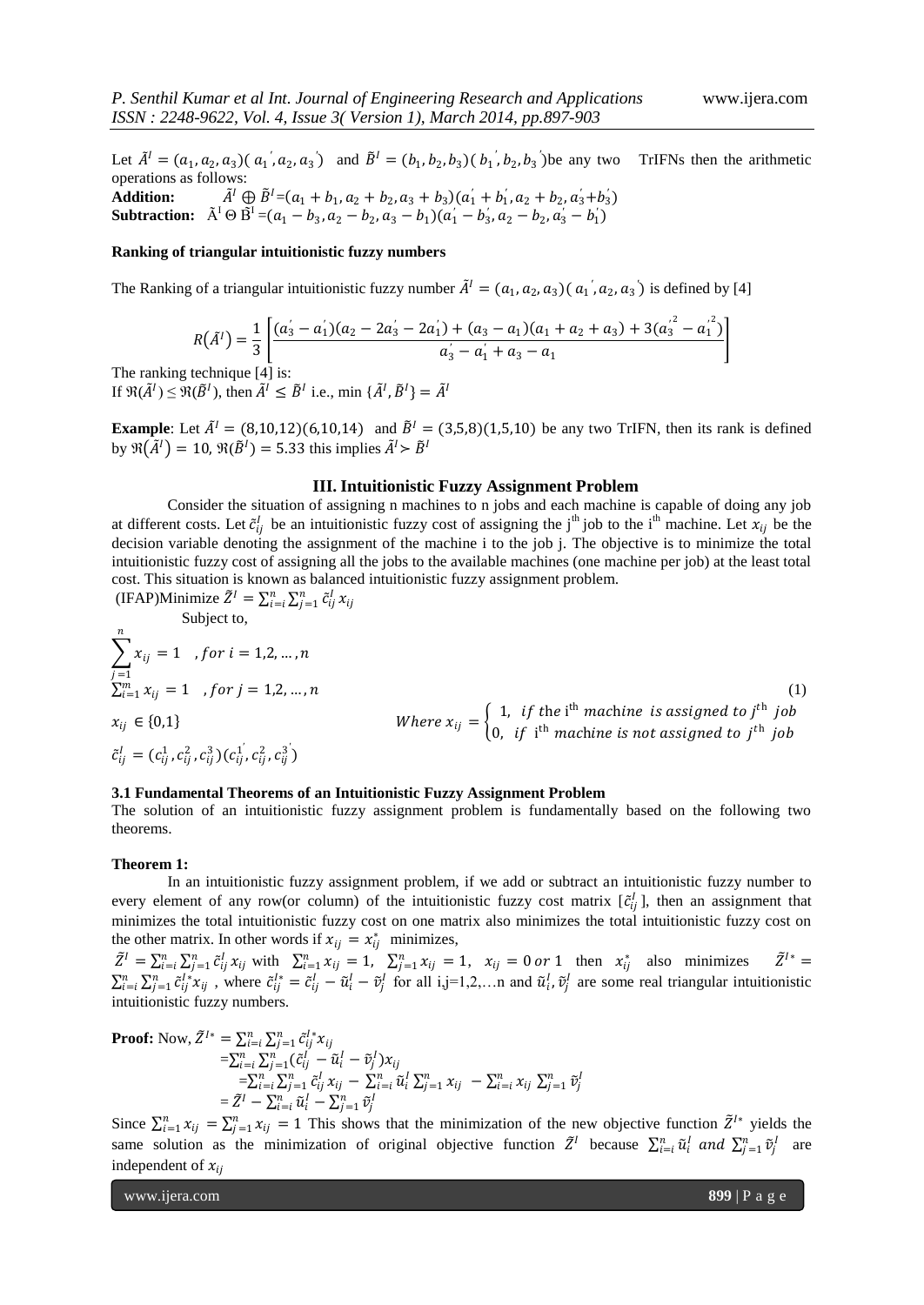Let  $\tilde{A}^I = (a_1, a_2, a_3) (a_1, a_2, a_3)$  and  $\tilde{B}^I = (b_1, b_2, b_3) (b_1, b_2, b_3)$  be any two TrIFNs then the arithmetic operations as follows: **Addition:**  $a_1^T \oplus \tilde{B}^T = (a_1 + b_1, a_2 + b_2, a_3 + b_3)(a_1^T + b_1^T, a_2 + b_2, a_3^T + b_3^T)$ 

**Subtraction:**  $\tilde{A}^I \Theta \tilde{B}^I = (a_1 - b_3, a_2 - b_2, a_3 - b_1)(a'_1 - b'_3, a_2 - b_2, a'_3 - b'_1)$ 

### **Ranking of triangular intuitionistic fuzzy numbers**

The Ranking of a triangular intuitionistic fuzzy number  $\tilde{A}^I = (a_1, a_2, a_3) (a_1, a_2, a_3)$  is defined by [4]

$$
R(\tilde{A}^I) = \frac{1}{3} \left[ \frac{(a_3^{\prime} - a_1^{\prime})(a_2 - 2a_3^{\prime} - 2a_1^{\prime}) + (a_3 - a_1)(a_1 + a_2 + a_3) + 3(a_3^{\prime^2} - a_1^{\prime^2})}{a_3^{\prime} - a_1^{\prime} + a_3 - a_1} \right]
$$

The ranking technique [4] is: If  $\mathfrak{R}(\tilde{A}^I) \leq \mathfrak{R}(\tilde{B}^I)$ , then  $\tilde{A}^I \leq \tilde{B}^I$  i.e., min  $\{\tilde{A}^I, \tilde{B}^I\} = \tilde{A}^I$ 

**Example**: Let  $\tilde{A}^I = (8,10,12)(6,10,14)$  and  $\tilde{B}^I = (3,5,8)(1,5,10)$  be any two TrIFN, then its rank is defined by  $\mathfrak{R}(\tilde{A}^I) = 10$ ,  $\mathfrak{R}(\tilde{B}^I) = 5.33$  this implies  $\tilde{A}^I > \tilde{B}^I$ 

#### **III. Intuitionistic Fuzzy Assignment Problem**

Consider the situation of assigning n machines to n jobs and each machine is capable of doing any job at different costs. Let  $\tilde{c}_{ij}^l$  be an intuitionistic fuzzy cost of assigning the j<sup>th</sup> job to the i<sup>th</sup> machine. Let  $x_{ij}$  be the decision variable denoting the assignment of the machine i to the job j. The objective is to minimize the total intuitionistic fuzzy cost of assigning all the jobs to the available machines (one machine per job) at the least total cost. This situation is known as balanced intuitionistic fuzzy assignment problem.

(IFAP)Minimize 
$$
\tilde{Z}^I = \sum_{i=i}^n \sum_{j=1}^n \tilde{c}_{ij}^I x_{ij}
$$

Subject to,  
\n
$$
\sum_{j=1}^{n} x_{ij} = 1 \quad , for \quad i = 1, 2, \ldots, n
$$
\n
$$
\sum_{i=1}^{m} x_{ij} = 1 \quad , for \quad j = 1, 2, \ldots, n
$$
\n
$$
x_{ij} \in \{0,1\}
$$
\nWhere  $x_{ij} = \begin{cases} 1, & \text{if the ith machine is assigned to jth job} \\ 0, & \text{if ith machine is not assigned to jth job} \end{cases}$ \n
$$
\tilde{c}_{ij}^{I} = (c_{ij}^{1}, c_{ij}^{2}, c_{ij}^{3})(c_{ij}^{1}, c_{ij}^{2}, c_{ij}^{3})
$$
\n(1)

## **3.1 Fundamental Theorems of an Intuitionistic Fuzzy Assignment Problem**

The solution of an intuitionistic fuzzy assignment problem is fundamentally based on the following two theorems.

#### **Theorem 1:**

In an intuitionistic fuzzy assignment problem, if we add or subtract an intuitionistic fuzzy number to every element of any row(or column) of the intuitionistic fuzzy cost matrix  $[\tilde{c}_{ij}^l]$ , then an assignment that minimizes the total intuitionistic fuzzy cost on one matrix also minimizes the total intuitionistic fuzzy cost on the other matrix. In other words if  $x_{ij} = x_{ij}^*$  minimizes,

 $\tilde{Z}^I = \sum_{i=1}^n \sum_{j=1}^n \tilde{c}_{ij}^I x_{ij}$  with  $\sum_{i=1}^n x_{ij} = 1$ ,  $\sum_{j=1}^n x_{ij} = 1$ ,  $x_{ij} = 0$  or 1 then  $x_{ij}^*$  also minimizes  $\tilde{Z}^{I*} =$  $\sum_{i=1}^n \sum_{j=1}^n \tilde{c}_{ij}^{l*} x_{ij}$ , where  $\tilde{c}_{ij}^{l*} = \tilde{c}_{ij}^l - \tilde{u}_i^l - \tilde{v}_j^l$  for all i,j=1,2,...n and  $\tilde{u}_i^l, \tilde{v}_j^l$  are some real triangular intuitionistic intuitionistic fuzzy numbers.

**Proof:** Now, 
$$
\tilde{Z}^{I*} = \sum_{i=1}^{n} \sum_{j=1}^{n} \tilde{c}_{ij}^{I*} x_{ij}
$$

$$
= \sum_{i=1}^{n} \sum_{j=1}^{n} (\tilde{c}_{ij}^{I} - \tilde{u}_{i}^{I} - \tilde{v}_{j}^{I}) x_{ij}
$$

$$
= \sum_{i=1}^{n} \sum_{j=1}^{n} \tilde{c}_{ij}^{I} x_{ij} - \sum_{i=i}^{n} \tilde{u}_{i}^{I} \sum_{j=1}^{n} x_{ij} - \sum_{i=i}^{n} x_{ij} \sum_{j=1}^{n} \tilde{v}_{j}^{I}
$$

$$
= \tilde{Z}^{I} - \sum_{i=i}^{n} \tilde{u}_{i}^{I} - \sum_{j=1}^{n} \tilde{v}_{j}^{I}
$$

Since  $\sum_{i=1}^n x_{ij} = \sum_{j=1}^n x_{ij} = 1$  This shows that the minimization of the new objective function  $\tilde{Z}^{l*}$  yields the same solution as the minimization of original objective function  $\tilde{Z}^I$  because  $\sum_{i=1}^n \tilde{u}_i^I$  and  $\sum_{j=1}^n \tilde{v}_j^I$  are independent of  $x_{ii}$ 

www.ijera.com **899** | P a g e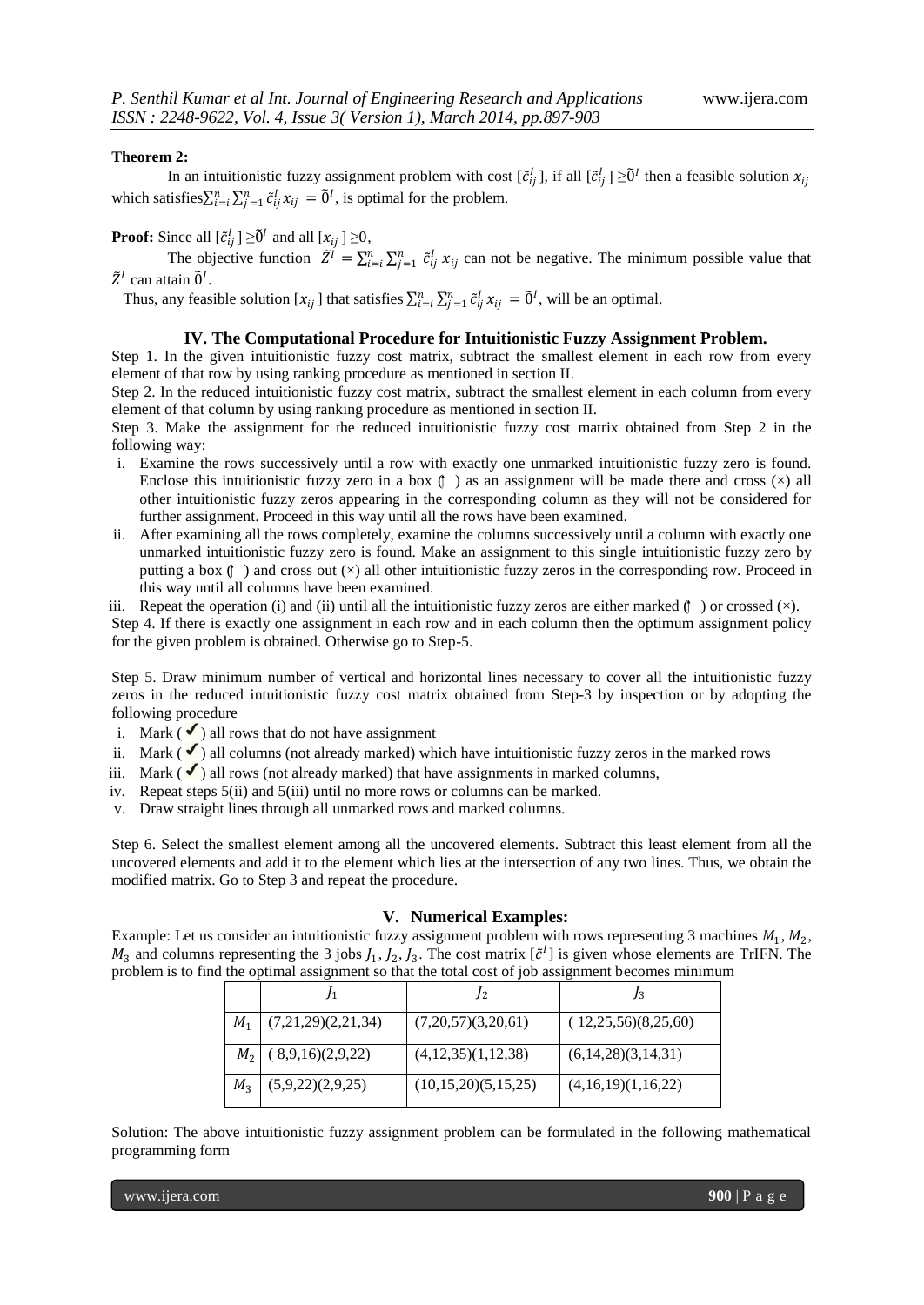#### **Theorem 2:**

In an intuitionistic fuzzy assignment problem with cost  $[\tilde{c}_{ij}^l]$ , if all  $[\tilde{c}_{ij}^l] \ge \tilde{0}^l$  then a feasible solution  $x_{ij}$ which satisfies  $\sum_{i=1}^{n} \sum_{j=1}^{n} \tilde{c}_{ij}^{I} x_{ij} = \tilde{0}^{I}$ , is optimal for the problem.

**Proof:** Since all  $[\tilde{c}_{ij}^l] \geq \tilde{0}^l$  and all  $[x_{ij}] \geq 0$ ,

The objective function  $\tilde{Z}^I = \sum_{i=1}^n \sum_{j=1}^n \tilde{c}_{ij}^I x_{ij}$  can not be negative. The minimum possible value that  $\tilde{Z}^I$  can attain  $\tilde{0}^I$ .

Thus, any feasible solution  $[x_{ij}]$  that satisfies  $\sum_{i=i}^{n} \sum_{j=1}^{n} \tilde{c}_{ij}^l x_{ij} = \tilde{0}^l$ , will be an optimal.

#### **IV. The Computational Procedure for Intuitionistic Fuzzy Assignment Problem.**

Step 1. In the given intuitionistic fuzzy cost matrix, subtract the smallest element in each row from every element of that row by using ranking procedure as mentioned in section II.

Step 2. In the reduced intuitionistic fuzzy cost matrix, subtract the smallest element in each column from every element of that column by using ranking procedure as mentioned in section II.

Step 3. Make the assignment for the reduced intuitionistic fuzzy cost matrix obtained from Step 2 in the following way:

- i. Examine the rows successively until a row with exactly one unmarked intuitionistic fuzzy zero is found. Enclose this intuitionistic fuzzy zero in a box  $(\uparrow)$  as an assignment will be made there and cross ( $\times$ ) all other intuitionistic fuzzy zeros appearing in the corresponding column as they will not be considered for further assignment. Proceed in this way until all the rows have been examined.
- ii. After examining all the rows completely, examine the columns successively until a column with exactly one unmarked intuitionistic fuzzy zero is found. Make an assignment to this single intuitionistic fuzzy zero by putting a box  $(\uparrow)$  and cross out  $(\times)$  all other intuitionistic fuzzy zeros in the corresponding row. Proceed in this way until all columns have been examined.

iii. Repeat the operation (i) and (ii) until all the intuitionistic fuzzy zeros are either marked  $($   $)$  or crossed  $(\times)$ . Step 4. If there is exactly one assignment in each row and in each column then the optimum assignment policy for the given problem is obtained. Otherwise go to Step-5.

Step 5. Draw minimum number of vertical and horizontal lines necessary to cover all the intuitionistic fuzzy zeros in the reduced intuitionistic fuzzy cost matrix obtained from Step-3 by inspection or by adopting the following procedure

- i. Mark ( $\checkmark$ ) all rows that do not have assignment
- ii. Mark  $(\checkmark)$  all columns (not already marked) which have intuitionistic fuzzy zeros in the marked rows
- iii. Mark ( $\checkmark$ ) all rows (not already marked) that have assignments in marked columns,
- iv. Repeat steps 5(ii) and 5(iii) until no more rows or columns can be marked.
- v. Draw straight lines through all unmarked rows and marked columns.

Step 6. Select the smallest element among all the uncovered elements. Subtract this least element from all the uncovered elements and add it to the element which lies at the intersection of any two lines. Thus, we obtain the modified matrix. Go to Step 3 and repeat the procedure.

#### **V. Numerical Examples:**

Example: Let us consider an intuitionistic fuzzy assignment problem with rows representing 3 machines  $M_1$ ,  $M_2$ ,  $M_3$  and columns representing the 3 jobs  $J_1, J_2, J_3$ . The cost matrix  $[\tilde{c}^I]$  is given whose elements are TrIFN. The problem is to find the optimal assignment so that the total cost of job assignment becomes minimum

| $M_{1}$ | (7,21,29)(2,21,34) | (7,20,57)(3,20,61)  | (12,25,56)(8,25,60) |
|---------|--------------------|---------------------|---------------------|
| $M_{2}$ | (8,9,16)(2,9,22)   | (4,12,35)(1,12,38)  | (6,14,28)(3,14,31)  |
| $M_{2}$ | (5,9,22)(2,9,25)   | (10,15,20)(5,15,25) | (4,16,19)(1,16,22)  |

Solution: The above intuitionistic fuzzy assignment problem can be formulated in the following mathematical programming form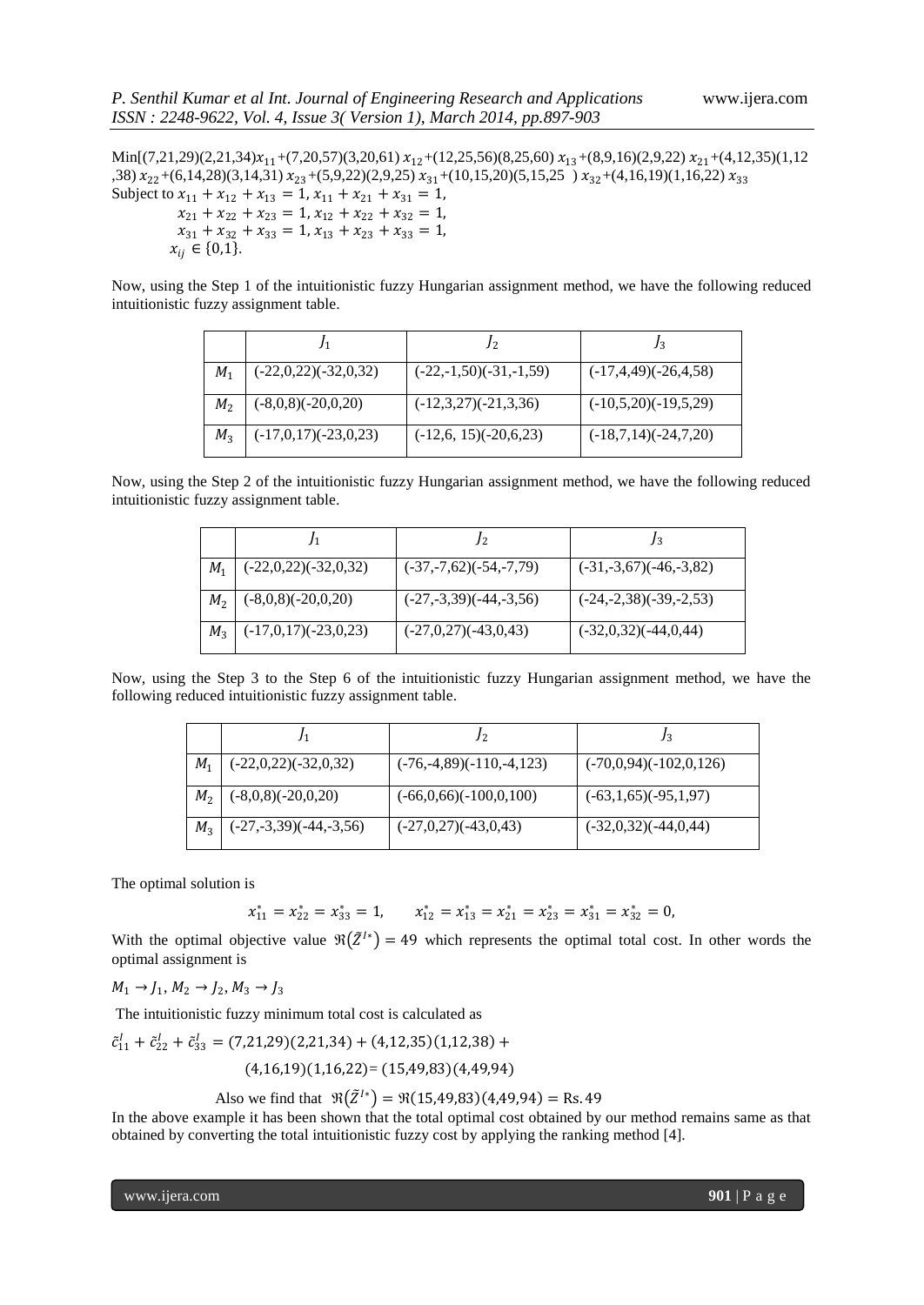$Min[(7,21,29)(2,21,34)x_{11}+(7,20,57)(3,20,61)x_{12}+(12,25,56)(8,25,60)x_{13}+(8,9,16)(2,9,22)x_{21}+(4,12,35)(1,12)$ ,38)  $x_{22}$ +(6,14,28)(3,14,31)  $x_{23}$ +(5,9,22)(2,9,25)  $x_{31}$ +(10,15,20)(5,15,25)  $x_{32}$ +(4,16,19)(1,16,22)  $x_{33}$ Subject to  $x_{11} + x_{12} + x_{13} = 1$ ,  $x_{11} + x_{21} + x_{31} = 1$ ,  $x_{21} + x_{22} + x_{23} = 1$ ,  $x_{12} + x_{22} + x_{32} = 1$ ,  $x_{31} + x_{32} + x_{33} = 1$ ,  $x_{13} + x_{23} + x_{33} = 1$ ,  $x_{ii} \in \{0,1\}.$ 

Now, using the Step 1 of the intuitionistic fuzzy Hungarian assignment method, we have the following reduced intuitionistic fuzzy assignment table.

| $M_1$          | $(-22,0,22)(-32,0,32)$ | $(-22,-1,50)(-31,-1,59)$ | $(-17,4,49)(-26,4,58)$ |
|----------------|------------------------|--------------------------|------------------------|
| M <sub>2</sub> | $(-8,0,8)(-20,0,20)$   | $(-12,3,27)(-21,3,36)$   | $(-10,5,20)(-19,5,29)$ |
| $M_3$          | $(-17,0,17)(-23,0,23)$ | $(-12,6, 15)(-20,6,23)$  | $(-18,7,14)(-24,7,20)$ |

Now, using the Step 2 of the intuitionistic fuzzy Hungarian assignment method, we have the following reduced intuitionistic fuzzy assignment table.

| $M_1$          | $(-22,0,22)(-32,0,32)$ | $(-37,-7,62)(-54,-7,79)$ | $(-31,-3,67)(-46,-3,82)$ |
|----------------|------------------------|--------------------------|--------------------------|
| M <sub>2</sub> | $(-8,0,8)(-20,0,20)$   | $(-27,-3,39)(-44,-3,56)$ | $(-24,-2,38)(-39,-2,53)$ |
| $M_{\rm{2}}$   | $(-17,0,17)(-23,0,23)$ | $(-27,0,27)(-43,0,43)$   | $(-32,0,32)(-44,0,44)$   |

Now, using the Step 3 to the Step 6 of the intuitionistic fuzzy Hungarian assignment method, we have the following reduced intuitionistic fuzzy assignment table.

| $M_1$          | $(-22,0,22)(-32,0,32)$   | $(-76,-4,89)(-110,-4,123)$ | $(-70,0,94)(-102,0,126)$ |
|----------------|--------------------------|----------------------------|--------------------------|
| M <sub>2</sub> | $(-8,0,8)(-20,0,20)$     | $(-66,0,66)(-100,0,100)$   | $(-63,1,65)(-95,1,97)$   |
| $M_3$          | $(-27,-3,39)(-44,-3,56)$ | $(-27,0,27)(-43,0,43)$     | $(-32,0,32)(-44,0,44)$   |

The optimal solution is

 $x_{11}^* = x_{22}^* = x_{33}^* = 1$ ,  $x_{12}^* = x_{13}^* = x_{21}^* = x_{23}^* = x_{31}^* = x_{32}^* = 0$ ,

With the optimal objective value  $\Re(\tilde{Z}^{I*}) = 49$  which represents the optimal total cost. In other words the optimal assignment is

 $M_1 \rightarrow J_1, M_2 \rightarrow J_2, M_3 \rightarrow J_3$ 

The intuitionistic fuzzy minimum total cost is calculated as

$$
\tilde{c}_{11}^l + \tilde{c}_{22}^l + \tilde{c}_{33}^l = (7,21,29)(2,21,34) + (4,12,35)(1,12,38) + (4,16,19)(1,16,22) = (15,49,83)(4,49,94)
$$

Also we find that  $\mathfrak{R}(\tilde{Z}^{I*}) = \mathfrak{R}(15,49,83)(4,49,94) = \text{Rs. } 49$ 

In the above example it has been shown that the total optimal cost obtained by our method remains same as that obtained by converting the total intuitionistic fuzzy cost by applying the ranking method [4].

www.ijera.com **901** | P a g e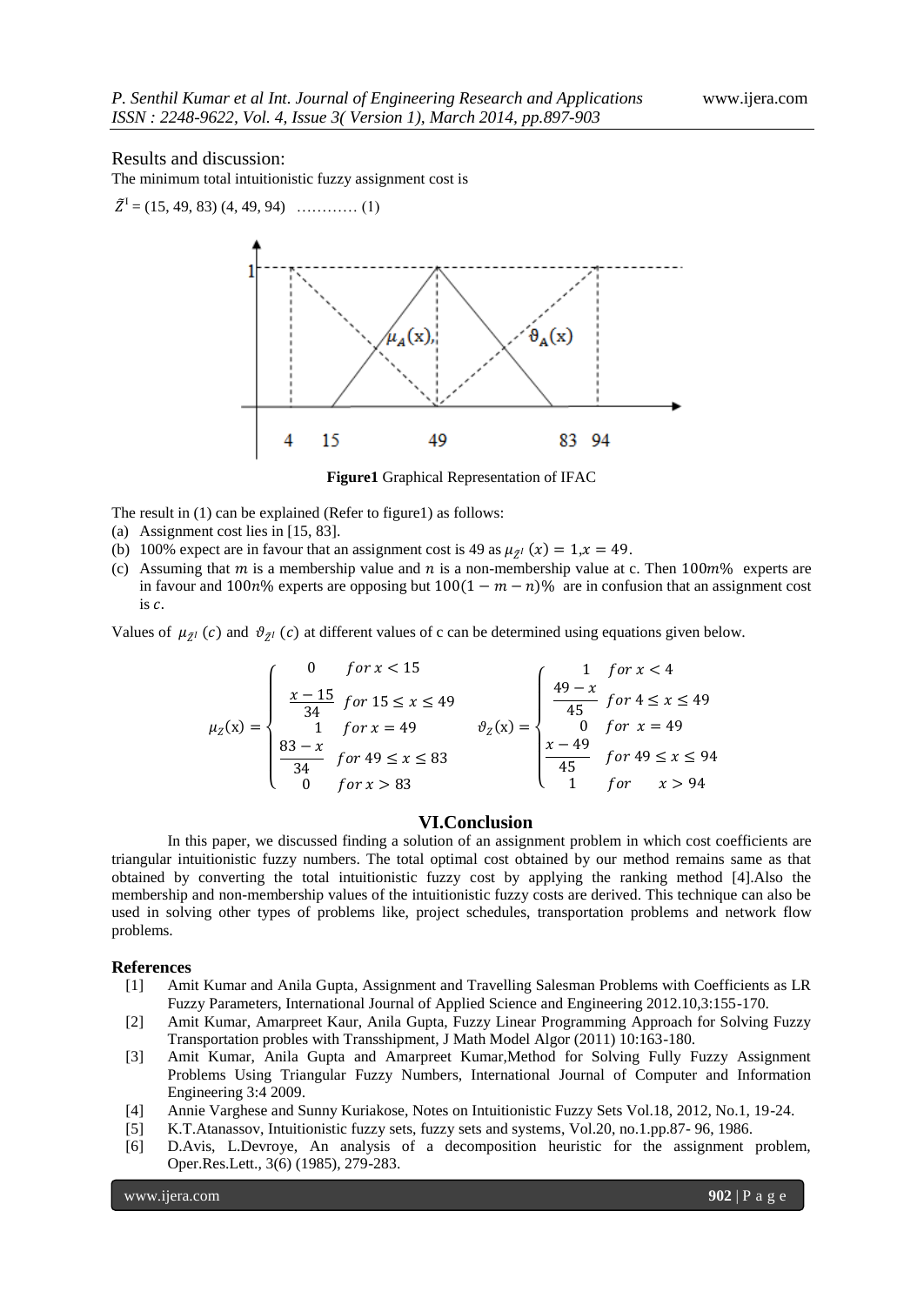#### Results and discussion:

The minimum total intuitionistic fuzzy assignment cost is

$$
\tilde{Z}^{I} = (15, 49, 83) (4, 49, 94) \dots (1)
$$

**Figure1** Graphical Representation of IFAC

The result in (1) can be explained (Refer to figure1) as follows:

- (a) Assignment cost lies in [15, 83].
- (b) 100% expect are in favour that an assignment cost is 49 as  $\mu_{\mathbb{Z}}(x) = 1, x = 49$ .
- (c) Assuming that m is a membership value and n is a non-membership value at c. Then  $100m\%$  experts are in favour and  $100n\%$  experts are opposing but  $100(1 - m - n)\%$  are in confusion that an assignment cost is  $c$ .

Values of  $\mu_{Z^I}(c)$  and  $\vartheta_{Z^I}(c)$  at different values of c can be determined using equations given below.

$$
\mu_Z(x) = \begin{cases}\n0 & \text{for } x < 15 \\
\frac{x - 15}{34} & \text{for } 15 \le x \le 49 \\
1 & \text{for } x = 49 \\
\frac{83 - x}{34} & \text{for } 49 \le x \le 83 \\
0 & \text{for } x > 83\n\end{cases}\n\quad\n\begin{cases}\n1 & \text{for } x < 4 \\
49 - x & \text{for } 4 \le x \le 49 \\
45 & \text{for } x = 49 \\
\frac{x - 49}{45} & \text{for } 49 \le x \le 94 \\
1 & \text{for } x > 94\n\end{cases}
$$

## **VI.Conclusion**

In this paper, we discussed finding a solution of an assignment problem in which cost coefficients are triangular intuitionistic fuzzy numbers. The total optimal cost obtained by our method remains same as that obtained by converting the total intuitionistic fuzzy cost by applying the ranking method [4].Also the membership and non-membership values of the intuitionistic fuzzy costs are derived. This technique can also be used in solving other types of problems like, project schedules, transportation problems and network flow problems.

#### **References**

- [1] Amit Kumar and Anila Gupta, Assignment and Travelling Salesman Problems with Coefficients as LR Fuzzy Parameters, International Journal of Applied Science and Engineering 2012.10,3:155-170.
- [2] Amit Kumar, Amarpreet Kaur, Anila Gupta, Fuzzy Linear Programming Approach for Solving Fuzzy Transportation probles with Transshipment, J Math Model Algor (2011) 10:163-180.
- [3] Amit Kumar, Anila Gupta and Amarpreet Kumar,Method for Solving Fully Fuzzy Assignment Problems Using Triangular Fuzzy Numbers, International Journal of Computer and Information Engineering 3:4 2009.
- [4] Annie Varghese and Sunny Kuriakose, Notes on Intuitionistic Fuzzy Sets Vol.18, 2012, No.1, 19-24.
- [5] K.T.Atanassov, Intuitionistic fuzzy sets, fuzzy sets and systems, Vol.20, no.1.pp.87- 96, 1986.
- [6] D.Avis, L.Devroye, An analysis of a decomposition heuristic for the assignment problem, Oper.Res.Lett., 3(6) (1985), 279-283.